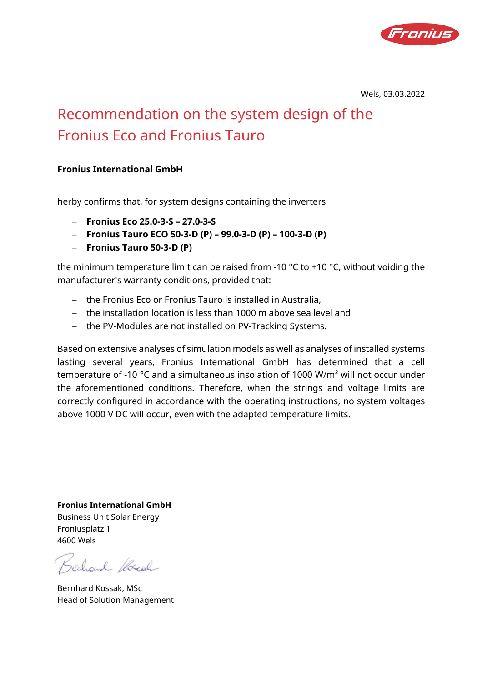

Wels, 03.03.2022

## Recommendation on the system design of the Fronius Eco and Fronius Tauro

## **Fronius International GmbH**

herby confirms that, for system designs containing the inverters

- − **Fronius Eco 25.0-3-S 27.0-3-S**
- − **Fronius Tauro ECO 50-3-D (P) 99.0-3-D (P) 100-3-D (P)**
- − **Fronius Tauro 50-3-D (P)**

the minimum temperature limit can be raised from -10  $\degree$ C to +10  $\degree$ C, without voiding the manufacturer's warranty conditions, provided that:

- − the Fronius Eco or Fronius Tauro is installed in Australia,
- − the installation location is less than 1000 m above sea level and
- − the PV-Modules are not installed on PV-Tracking Systems.

Based on extensive analyses of simulation models as well as analyses of installed systems lasting several years, Fronius International GmbH has determined that a cell temperature of -10 °C and a simultaneous insolation of 1000 W/m² will not occur under the aforementioned conditions. Therefore, when the strings and voltage limits are correctly configured in accordance with the operating instructions, no system voltages above 1000 V DC will occur, even with the adapted temperature limits.

**Fronius International GmbH** Business Unit Solar Energy Froniusplatz 1 4600 Wels

Bechoud Rocal

Bernhard Kossak, MSc Head of Solution Management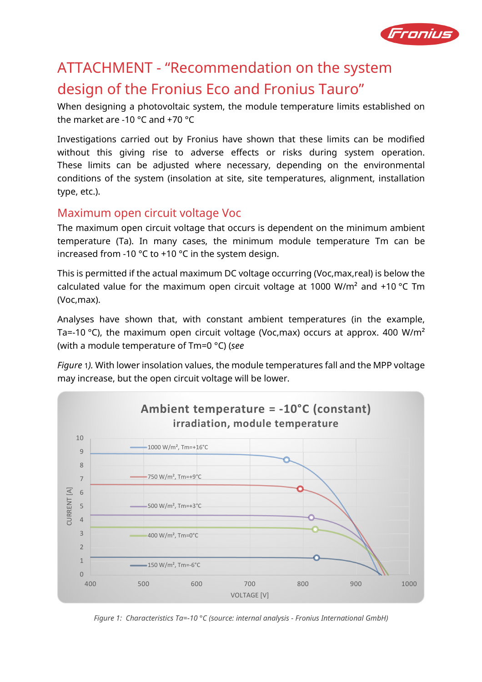

## ATTACHMENT - "Recommendation on the system design of the Fronius Eco and Fronius Tauro"

When designing a photovoltaic system, the module temperature limits established on the market are -10 °C and +70 °C

Investigations carried out by Fronius have shown that these limits can be modified without this giving rise to adverse effects or risks during system operation. These limits can be adjusted where necessary, depending on the environmental conditions of the system (insolation at site, site temperatures, alignment, installation type, etc.).

## Maximum open circuit voltage Voc

The maximum open circuit voltage that occurs is dependent on the minimum ambient temperature (Ta). In many cases, the minimum module temperature Tm can be increased from -10 °C to +10 °C in the system design.

This is permitted if the actual maximum DC voltage occurring (Voc,max,real) is below the calculated value for the maximum open circuit voltage at 1000 W/m<sup>2</sup> and  $+10$  °C Tm (Voc,max).

Analyses have shown that, with constant ambient temperatures (in the example, Ta=-10 °C), the maximum open circuit voltage (Voc,max) occurs at approx. 400 W/m<sup>2</sup> (with a module temperature of Tm=0 °C) (*see* 

*Figure* 1*).* With lower insolation values, the module temperatures fall and the MPP voltage may increase, but the open circuit voltage will be lower.



*Figure 1: Characteristics Ta=-10 °C (source: internal analysis - Fronius International GmbH)*